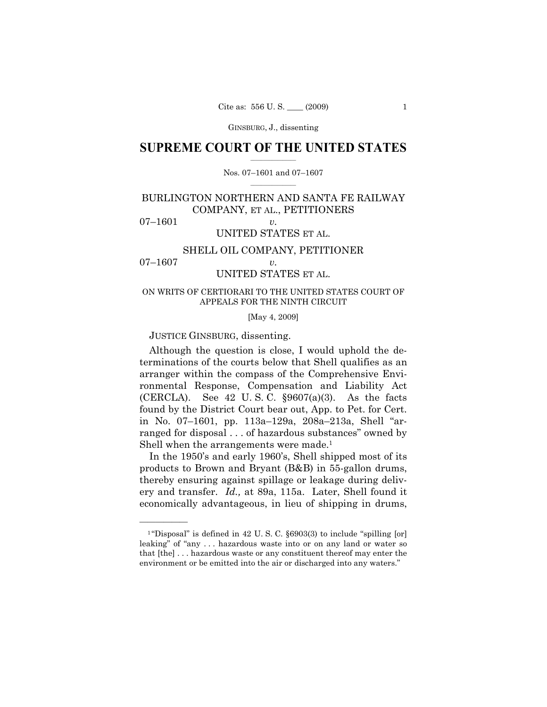## **SUPREME COURT OF THE UNITED STATES**  $\frac{1}{2}$  , where  $\frac{1}{2}$

### Nos. 07–1601 and 07–1607  $\frac{1}{2}$  ,  $\frac{1}{2}$  ,  $\frac{1}{2}$  ,  $\frac{1}{2}$  ,  $\frac{1}{2}$  ,  $\frac{1}{2}$

# BURLINGTON NORTHERN AND SANTA FE RAILWAY COMPANY, ET AL., PETITIONERS

07–1601 *v.*

——————

# UNITED STATES ET AL.

# SHELL OIL COMPANY, PETITIONER

# 07–1607 *v.* UNITED STATES ET AL.

## ON WRITS OF CERTIORARI TO THE UNITED STATES COURT OF APPEALS FOR THE NINTH CIRCUIT

[May 4, 2009]

JUSTICE GINSBURG, dissenting.

 Although the question is close, I would uphold the determinations of the courts below that Shell qualifies as an arranger within the compass of the Comprehensive Environmental Response, Compensation and Liability Act (CERCLA). See  $42$  U.S.C.  $\S 9607(a)(3)$ . As the facts found by the District Court bear out, App. to Pet. for Cert. in No. 07–1601, pp. 113a–129a, 208a–213a, Shell "arranged for disposal . . . of hazardous substances" owned by Shell when the arrangements were made.<sup>1</sup>

 In the 1950's and early 1960's, Shell shipped most of its products to Brown and Bryant (B&B) in 55-gallon drums, thereby ensuring against spillage or leakage during delivery and transfer. *Id.,* at 89a, 115a. Later, Shell found it economically advantageous, in lieu of shipping in drums,

 $1$  "Disposal" is defined in 42 U.S.C. §6903(3) to include "spilling [or] leaking" of "any . . . hazardous waste into or on any land or water so that [the] . . . hazardous waste or any constituent thereof may enter the environment or be emitted into the air or discharged into any waters."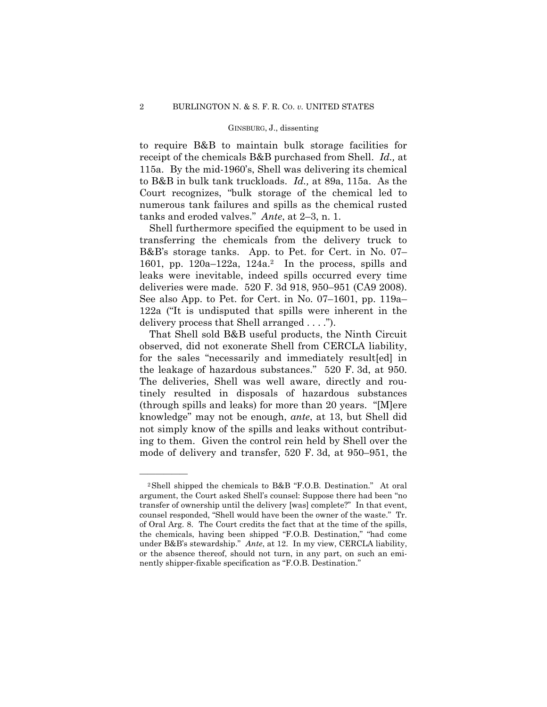to require B&B to maintain bulk storage facilities for receipt of the chemicals B&B purchased from Shell. *Id.,* at 115a. By the mid-1960's, Shell was delivering its chemical to B&B in bulk tank truckloads. *Id.,* at 89a, 115a. As the Court recognizes, "bulk storage of the chemical led to numerous tank failures and spills as the chemical rusted tanks and eroded valves." *Ante*, at 2–3, n. 1.

 Shell furthermore specified the equipment to be used in transferring the chemicals from the delivery truck to B&B's storage tanks. App. to Pet. for Cert. in No. 07– 1601, pp. 120a–122a, 124a.<sup>2</sup> In the process, spills and leaks were inevitable, indeed spills occurred every time deliveries were made. 520 F. 3d 918, 950–951 (CA9 2008). See also App. to Pet. for Cert. in No. 07–1601, pp. 119a– 122a ("It is undisputed that spills were inherent in the delivery process that Shell arranged . . . .").

 That Shell sold B&B useful products, the Ninth Circuit observed, did not exonerate Shell from CERCLA liability, for the sales "necessarily and immediately result[ed] in the leakage of hazardous substances." 520 F. 3d, at 950. The deliveries, Shell was well aware, directly and routinely resulted in disposals of hazardous substances (through spills and leaks) for more than 20 years. "[M]ere knowledge" may not be enough, *ante*, at 13, but Shell did not simply know of the spills and leaks without contributing to them. Given the control rein held by Shell over the mode of delivery and transfer, 520 F. 3d, at 950–951, the

——————

<sup>2</sup>Shell shipped the chemicals to B&B "F.O.B. Destination." At oral argument, the Court asked Shell's counsel: Suppose there had been "no transfer of ownership until the delivery [was] complete?" In that event, counsel responded, "Shell would have been the owner of the waste." Tr. of Oral Arg. 8. The Court credits the fact that at the time of the spills, the chemicals, having been shipped "F.O.B. Destination," "had come under B&B's stewardship." *Ante*, at 12. In my view, CERCLA liability, or the absence thereof, should not turn, in any part, on such an eminently shipper-fixable specification as "F.O.B. Destination."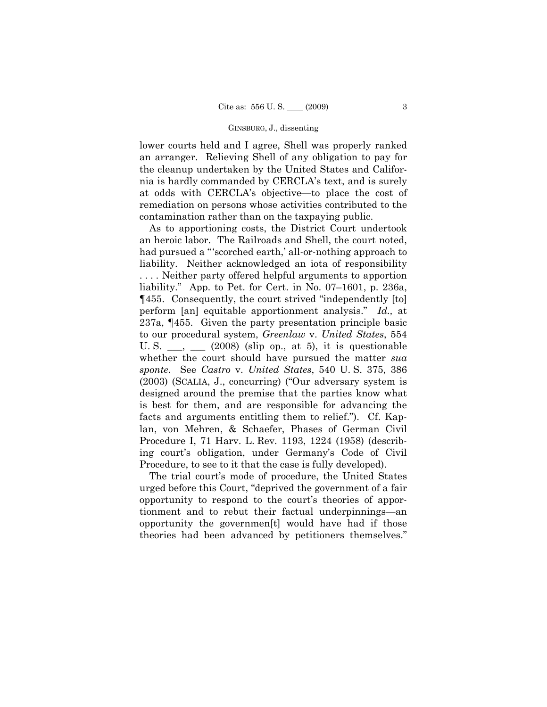lower courts held and I agree, Shell was properly ranked an arranger. Relieving Shell of any obligation to pay for the cleanup undertaken by the United States and California is hardly commanded by CERCLA's text, and is surely at odds with CERCLA's objective—to place the cost of remediation on persons whose activities contributed to the contamination rather than on the taxpaying public.

 As to apportioning costs, the District Court undertook an heroic labor. The Railroads and Shell, the court noted, had pursued a "'scorched earth,' all-or-nothing approach to liability. Neither acknowledged an iota of responsibility . . . . Neither party offered helpful arguments to apportion liability." App. to Pet. for Cert. in No. 07–1601, p. 236a, ¶455. Consequently, the court strived "independently [to] perform [an] equitable apportionment analysis." *Id.,* at 237a, ¶455. Given the party presentation principle basic to our procedural system, *Greenlaw* v. *United States*, 554 U. S.  $\_\_\_\_\_\_\_\_\_\$  (2008) (slip op., at 5), it is questionable whether the court should have pursued the matter *sua sponte*. See *Castro* v. *United States*, 540 U. S. 375, 386 (2003) (SCALIA, J., concurring) ("Our adversary system is designed around the premise that the parties know what is best for them, and are responsible for advancing the facts and arguments entitling them to relief."). Cf. Kaplan, von Mehren, & Schaefer, Phases of German Civil Procedure I, 71 Harv. L. Rev. 1193, 1224 (1958) (describing court's obligation, under Germany's Code of Civil Procedure, to see to it that the case is fully developed).

 The trial court's mode of procedure, the United States urged before this Court, "deprived the government of a fair opportunity to respond to the court's theories of apportionment and to rebut their factual underpinnings—an opportunity the governmen[t] would have had if those theories had been advanced by petitioners themselves."